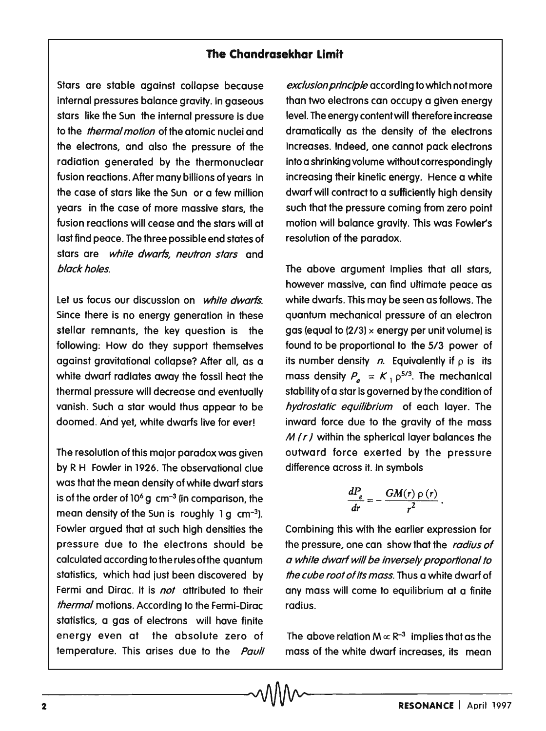## **The Chandrasekhar limit**

Stars are stable against collapse because internal pressures balance gravity. In gaseous stars like the Sun the internal pressure is due to the *thermal motion* of the atomic nuclei and the electrons, and also the pressure of the radiation generated by the thermonuclear fusion reactions. After many billions of years in the case of stars like the Sun or a few million years in the case of more massive stars, the fusion reactions will cease and the stars will at last find peace. The three possible end states of stars are white dwarfs, neutron stars and black holes.

Let us focus our discussion on white dwarfs. Since there is no energy generation in these stellar remnants, the key question is the following: How do they support themselves against gravitational collapse? After all, as a white dwarf radiates away the fossil heat the thermal pressure will decrease and eventually vanish. Such a star would thus appear to be doomed. And yet, white dwarfs live for ever!

The resolution of this major paradox was given by R H Fowler in 1926. The observational clue was that the mean density of white dwarf stars is of the order of  $10<sup>6</sup>$  g cm<sup>-3</sup> (in comparison, the mean density of the Sun is roughly 1 g cm<sup>-3</sup>). Fowler argued that at such high densities the pressure due to the electrons should be calculated according to the rules ofthe quantum statistics, which had just been discovered by Fermi and Dirac. It is not attributed to their thermal motions. According to the Fermi-Dirac statistics, a gas of electrons will have finite energy even at the absolute zero of temperature. This arises due to the Pauli

exclusion principle according to which not more than two electrons can occupy a given energy level. The energy content will therefore increase dramatically as the density of the electrons increases. Indeed, one cannot pack electrons into a shrinking volume without correspondingly increasing their kinetic energy. Hence a white dwarf will contract to a sufficiently high density such that the pressure coming from zero point motion will balance gravity. This was Fowler'S resolution of the paradox.

The above argument implies that all stars, however massive, can find ultimate peace as white dwarfs. This may be seen as follows. The quantum mechanical pressure of an electron gas (equal to  $(2/3)$  x energy per unit volume) is found to be proportional to the *513* power of its number density  $n$ . Equivalently if  $p$  is its mass density  $P_e = K_1 \rho^{5/3}$ . The mechanical stability of a star is governed by the condition of hydrostatic equilibrium of each layer. The inward force due to the gravity of the mass *M (r)* within the spherical layer balances the outward force exerted by the pressure difference across it. In symbols

$$
\frac{dP_e}{dr}=-\frac{GM(r)\,\rho\,(r)}{r^2}\,.
$$

Combining this with the earlier expression for the pressure, one can show that the radius of a white dwarf will be inversely proportional to the cube root of its mass. Thus a white dwarf of any mass will come to equilibrium at a finite radius.

The above relation  $M \propto R^{-3}$  implies that as the mass of the white dwarf increases, its mean